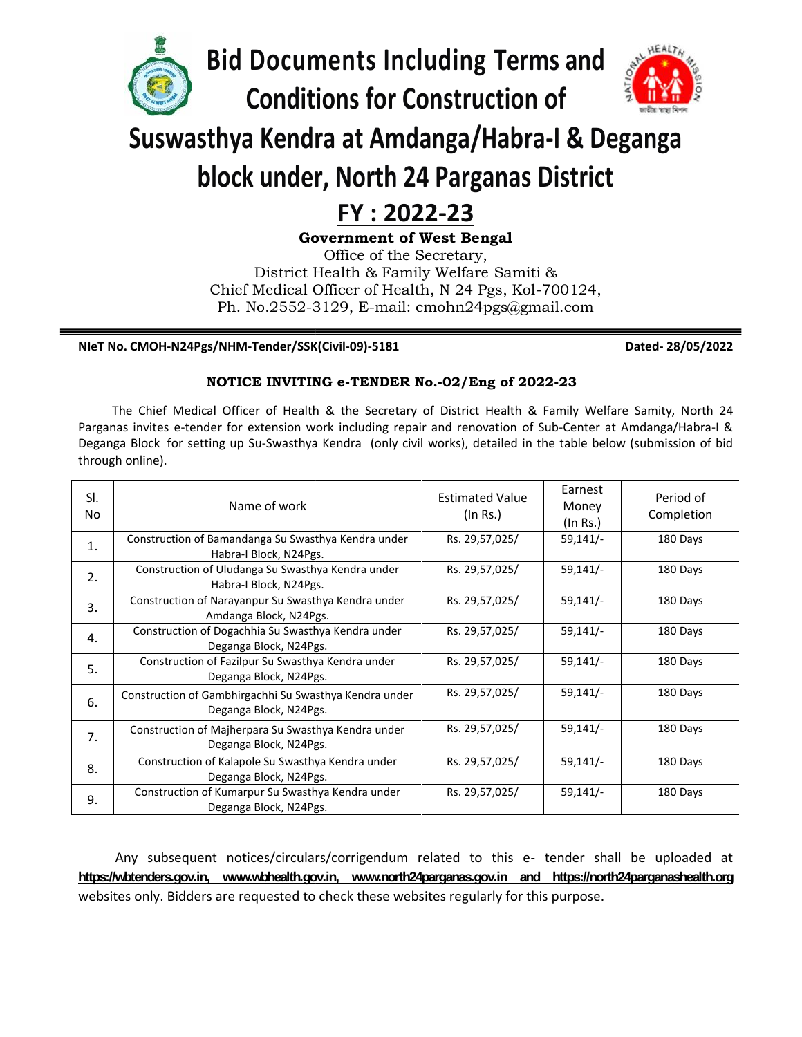

**Bid Documents Including Terms and**



# **Suswasthya Kendra at Amdanga/Habra-I & Deganga**

# **block under, North 24 Parganas District**

## **FY : 2022-23**

#### **NIeT No. CMOH-N24Pgs/NHM-Tender/SSK(Civil-09)-5181 Dated- 28/05/2022**

#### **NOTICE INVITING e-TENDER No.-02/Eng of 2022-23**

|                                                                                                                                                                                                                                                                                                                                                                       | FY: 2022-23<br><b>Government of West Bengal</b><br>Office of the Secretary,<br>District Health & Family Welfare Samiti &<br>Chief Medical Officer of Health, N 24 Pgs, Kol-700124,<br>Ph. No.2552-3129, E-mail: cmohn24pgs@gmail.com |                                    |                              |                         |  |
|-----------------------------------------------------------------------------------------------------------------------------------------------------------------------------------------------------------------------------------------------------------------------------------------------------------------------------------------------------------------------|--------------------------------------------------------------------------------------------------------------------------------------------------------------------------------------------------------------------------------------|------------------------------------|------------------------------|-------------------------|--|
|                                                                                                                                                                                                                                                                                                                                                                       | NIeT No. CMOH-N24Pgs/NHM-Tender/SSK(Civil-09)-5181                                                                                                                                                                                   |                                    |                              | Dated-28/05/2022        |  |
|                                                                                                                                                                                                                                                                                                                                                                       | NOTICE INVITING e-TENDER No.-02/Eng of 2022-23                                                                                                                                                                                       |                                    |                              |                         |  |
| The Chief Medical Officer of Health & the Secretary of District Health & Family Welfare Samity, North 24<br>Parganas invites e-tender for extension work including repair and renovation of Sub-Center at Amdanga/Habra-I &<br>Deganga Block for setting up Su-Swasthya Kendra (only civil works), detailed in the table below (submission of bid<br>through online). |                                                                                                                                                                                                                                      |                                    |                              |                         |  |
| SI.<br><b>No</b>                                                                                                                                                                                                                                                                                                                                                      | Name of work                                                                                                                                                                                                                         | <b>Estimated Value</b><br>(In Rs.) | Earnest<br>Money<br>(In Rs.) | Period of<br>Completion |  |
| 1.                                                                                                                                                                                                                                                                                                                                                                    | Construction of Bamandanga Su Swasthya Kendra under<br>Habra-I Block, N24Pgs.                                                                                                                                                        | Rs. 29,57,025/                     | $59,141/-$                   | 180 Days                |  |
| 2.                                                                                                                                                                                                                                                                                                                                                                    | Construction of Uludanga Su Swasthya Kendra under<br>Habra-I Block, N24Pgs.                                                                                                                                                          | Rs. 29,57,025/                     | $59,141/-$                   | 180 Days                |  |
| 3.                                                                                                                                                                                                                                                                                                                                                                    | Construction of Narayanpur Su Swasthya Kendra under<br>Amdanga Block, N24Pgs.                                                                                                                                                        | Rs. 29,57,025/                     | $59,141/-$                   | 180 Days                |  |
| 4.                                                                                                                                                                                                                                                                                                                                                                    | Construction of Dogachhia Su Swasthya Kendra under<br>Deganga Block, N24Pgs.                                                                                                                                                         | Rs. 29,57,025/                     | $59,141/-$                   | 180 Days                |  |
|                                                                                                                                                                                                                                                                                                                                                                       | Construction of Fazilpur Su Swasthya Kendra under                                                                                                                                                                                    | Rs. 29,57,025/                     | $59,141/-$                   | 180 Days                |  |
| 5.                                                                                                                                                                                                                                                                                                                                                                    |                                                                                                                                                                                                                                      |                                    | $59,141/-$                   | 180 Days                |  |
| 6.                                                                                                                                                                                                                                                                                                                                                                    | Deganga Block, N24Pgs.<br>Construction of Gambhirgachhi Su Swasthya Kendra under<br>Deganga Block, N24Pgs.                                                                                                                           | Rs. 29,57,025/                     |                              |                         |  |
| 7.                                                                                                                                                                                                                                                                                                                                                                    | Construction of Majherpara Su Swasthya Kendra under                                                                                                                                                                                  | Rs. 29,57,025/                     | $59,141/-$                   | 180 Days                |  |
| 8.                                                                                                                                                                                                                                                                                                                                                                    | Deganga Block, N24Pgs.<br>Construction of Kalapole Su Swasthya Kendra under<br>Deganga Block, N24Pgs.                                                                                                                                | Rs. 29,57,025/                     | $59,141/-$                   | 180 Days                |  |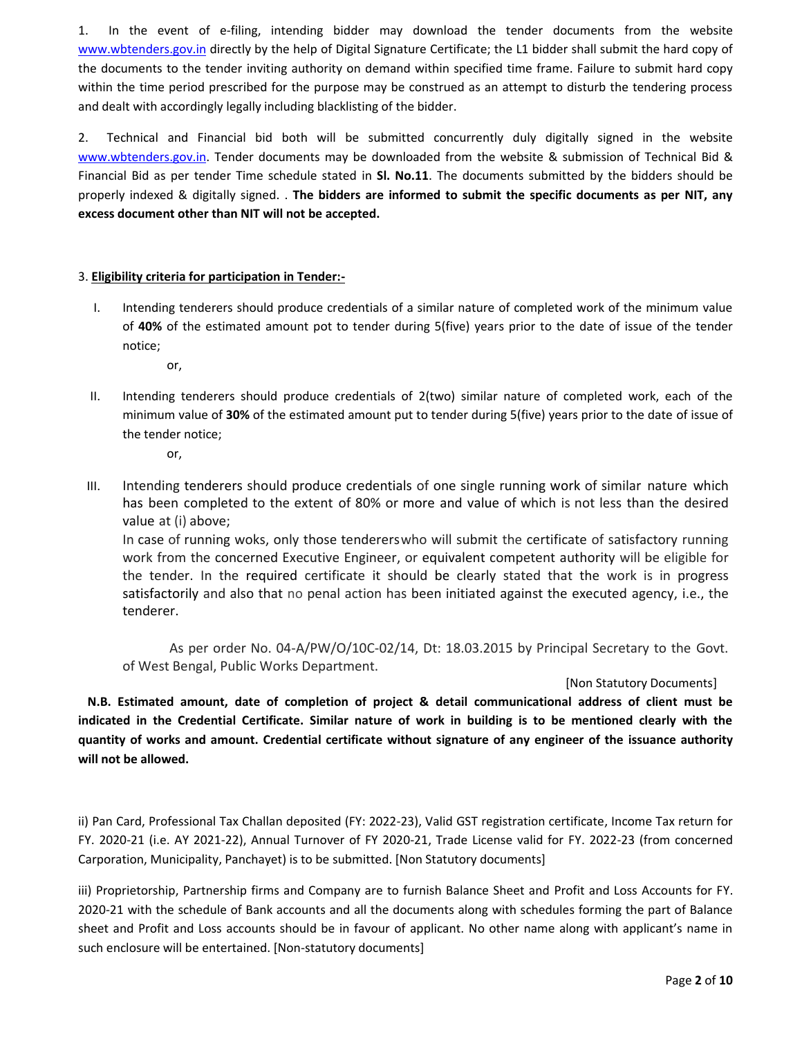1. In the event of e-filing, intending bidder may download the tender documents from the website www.wbtenders.gov.in directly by the help of Digital Signature Certificate; the L1 bidder shall submit the hard copy of the documents to the tender inviting authority on demand within specified time frame. Failure to submit hard copy within the time period prescribed for the purpose may be construed as an attempt to disturb the tendering process and dealt with accordingly legally including blacklisting of the bidder.

2. Technical and Financial bid both will be submitted concurrently duly digitally signed in the website www.wbtenders.gov.in. Tender documents may be downloaded from the website & submission of Technical Bid & Financial Bid as per tender Time schedule stated in **Sl. No.11**. The documents submitted by the bidders should be properly indexed & digitally signed. . **The bidders are informed to submit the specific documents as per NIT, any excess document other than NIT will not be accepted.**

#### 3. **Eligibility criteria for participation in Tender:-**

I. Intending tenderers should produce credentials of a similar nature of completed work of the minimum value of **40%** of the estimated amount pot to tender during 5(five) years prior to the date of issue of the tender notice;

or,

II. Intending tenderers should produce credentials of 2(two) similar nature of completed work, each of the minimum value of **30%** of the estimated amount put to tender during 5(five) years prior to the date of issue of the tender notice;

or,

III. Intending tenderers should produce credentials of one single running work of similar nature which has been completed to the extent of 80% or more and value of which is not less than the desired value at (i) above;

In case of running woks, only those tendererswho will submit the certificate of satisfactory running work from the concerned Executive Engineer, or equivalent competent authority will be eligible for the tender. In the required certificate it should be clearly stated that the work is in progress satisfactorily and also that no penal action has been initiated against the executed agency, i.e., the tenderer.

As per order No. 04-A/PW/O/10C-02/14, Dt: 18.03.2015 by Principal Secretary to the Govt. of West Bengal, Public Works Department.

#### [Non Statutory Documents]

**N.B. Estimated amount, date of completion of project & detail communicational address of client must be indicated in the Credential Certificate. Similar nature of work in building is to be mentioned clearly with the quantity of works and amount. Credential certificate without signature of any engineer of the issuance authority will not be allowed.**

ii) Pan Card, Professional Tax Challan deposited (FY: 2022-23), Valid GST registration certificate, Income Tax return for FY. 2020-21 (i.e. AY 2021-22), Annual Turnover of FY 2020-21, Trade License valid for FY. 2022-23 (from concerned Carporation, Municipality, Panchayet) is to be submitted. [Non Statutory documents]

iii) Proprietorship, Partnership firms and Company are to furnish Balance Sheet and Profit and Loss Accounts for FY. 2020-21 with the schedule of Bank accounts and all the documents along with schedules forming the part of Balance sheet and Profit and Loss accounts should be in favour of applicant. No other name along with applicant's name in such enclosure will be entertained. [Non-statutory documents]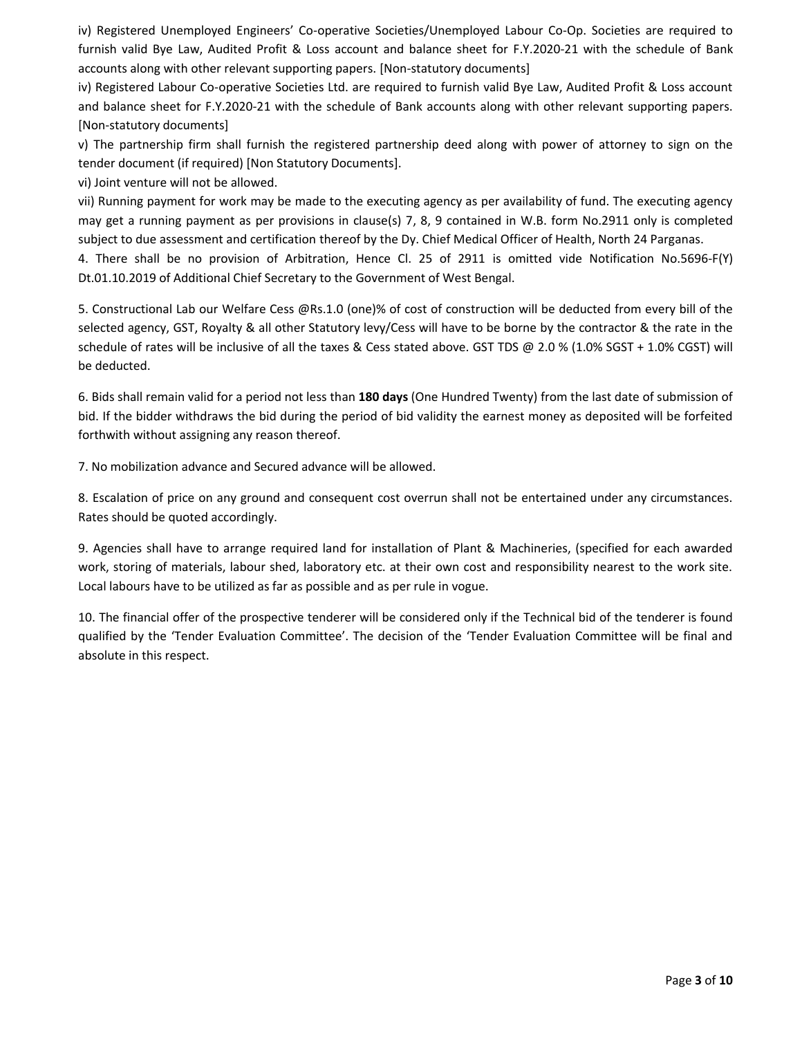iv) Registered Unemployed Engineers' Co-operative Societies/Unemployed Labour Co-Op. Societies are required to furnish valid Bye Law, Audited Profit & Loss account and balance sheet for F.Y.2020-21 with the schedule of Bank accounts along with other relevant supporting papers. [Non-statutory documents]

iv) Registered Labour Co-operative Societies Ltd. are required to furnish valid Bye Law, Audited Profit & Loss account and balance sheet for F.Y.2020-21 with the schedule of Bank accounts along with other relevant supporting papers. [Non-statutory documents]

v) The partnership firm shall furnish the registered partnership deed along with power of attorney to sign on the tender document (if required) [Non Statutory Documents].

vi) Joint venture will not be allowed.

vii) Running payment for work may be made to the executing agency as per availability of fund. The executing agency may get a running payment as per provisions in clause(s) 7, 8, 9 contained in W.B. form No.2911 only is completed subject to due assessment and certification thereof by the Dy. Chief Medical Officer of Health, North 24 Parganas.

4. There shall be no provision of Arbitration, Hence Cl. 25 of 2911 is omitted vide Notification No.5696-F(Y) Dt.01.10.2019 of Additional Chief Secretary to the Government of West Bengal.

5. Constructional Lab our Welfare Cess @Rs.1.0 (one)% of cost of construction will be deducted from every bill of the selected agency, GST, Royalty & all other Statutory levy/Cess will have to be borne by the contractor & the rate in the schedule of rates will be inclusive of all the taxes & Cess stated above. GST TDS @ 2.0 % (1.0% SGST + 1.0% CGST) will be deducted.

6. Bids shall remain valid for a period not less than **180 days** (One Hundred Twenty) from the last date of submission of bid. If the bidder withdraws the bid during the period of bid validity the earnest money as deposited will be forfeited forthwith without assigning any reason thereof.

7. No mobilization advance and Secured advance will be allowed.

8. Escalation of price on any ground and consequent cost overrun shall not be entertained under any circumstances. Rates should be quoted accordingly.

9. Agencies shall have to arrange required land for installation of Plant & Machineries, (specified for each awarded work, storing of materials, labour shed, laboratory etc. at their own cost and responsibility nearest to the work site. Local labours have to be utilized as far as possible and as per rule in vogue.

10. The financial offer of the prospective tenderer will be considered only if the Technical bid of the tenderer is found qualified by the 'Tender Evaluation Committee'. The decision of the 'Tender Evaluation Committee will be final and absolute in this respect.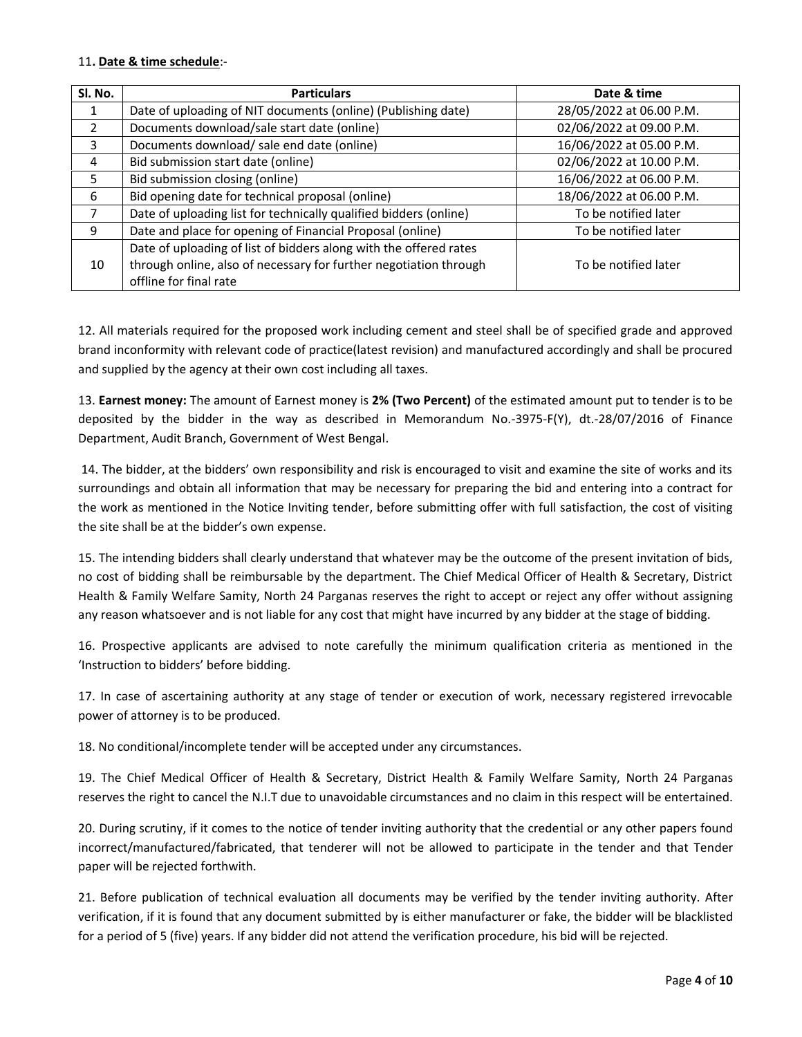#### 11**. Date & time schedule**:-

| SI. No.        | <b>Particulars</b>                                                | Date & time              |
|----------------|-------------------------------------------------------------------|--------------------------|
|                | Date of uploading of NIT documents (online) (Publishing date)     | 28/05/2022 at 06.00 P.M. |
| $\overline{2}$ | Documents download/sale start date (online)                       | 02/06/2022 at 09.00 P.M. |
| 3              | Documents download/ sale end date (online)                        | 16/06/2022 at 05.00 P.M. |
| 4              | Bid submission start date (online)                                | 02/06/2022 at 10.00 P.M. |
| 5              | Bid submission closing (online)                                   | 16/06/2022 at 06.00 P.M. |
| 6              | Bid opening date for technical proposal (online)                  | 18/06/2022 at 06.00 P.M. |
|                | Date of uploading list for technically qualified bidders (online) | To be notified later     |
| 9              | Date and place for opening of Financial Proposal (online)         | To be notified later     |
|                | Date of uploading of list of bidders along with the offered rates |                          |
| 10             | through online, also of necessary for further negotiation through | To be notified later     |
|                | offline for final rate                                            |                          |

12. All materials required for the proposed work including cement and steel shall be of specified grade and approved brand inconformity with relevant code of practice(latest revision) and manufactured accordingly and shall be procured and supplied by the agency at their own cost including all taxes.

13. **Earnest money:** The amount of Earnest money is **2% (Two Percent)** of the estimated amount put to tender is to be deposited by the bidder in the way as described in Memorandum No.-3975-F(Y), dt.-28/07/2016 of Finance Department, Audit Branch, Government of West Bengal.

14. The bidder, at the bidders' own responsibility and risk is encouraged to visit and examine the site of works and its surroundings and obtain all information that may be necessary for preparing the bid and entering into a contract for the work as mentioned in the Notice Inviting tender, before submitting offer with full satisfaction, the cost of visiting the site shall be at the bidder's own expense.

15. The intending bidders shall clearly understand that whatever may be the outcome of the present invitation of bids, no cost of bidding shall be reimbursable by the department. The Chief Medical Officer of Health & Secretary, District Health & Family Welfare Samity, North 24 Parganas reserves the right to accept or reject any offer without assigning any reason whatsoever and is not liable for any cost that might have incurred by any bidder at the stage of bidding.

16. Prospective applicants are advised to note carefully the minimum qualification criteria as mentioned in the 'Instruction to bidders' before bidding.

17. In case of ascertaining authority at any stage of tender or execution of work, necessary registered irrevocable power of attorney is to be produced.

18. No conditional/incomplete tender will be accepted under any circumstances.

19. The Chief Medical Officer of Health & Secretary, District Health & Family Welfare Samity, North 24 Parganas reserves the right to cancel the N.I.T due to unavoidable circumstances and no claim in this respect will be entertained.

20. During scrutiny, if it comes to the notice of tender inviting authority that the credential or any other papers found incorrect/manufactured/fabricated, that tenderer will not be allowed to participate in the tender and that Tender paper will be rejected forthwith.

21. Before publication of technical evaluation all documents may be verified by the tender inviting authority. After verification, if it is found that any document submitted by is either manufacturer or fake, the bidder will be blacklisted for a period of 5 (five) years. If any bidder did not attend the verification procedure, his bid will be rejected.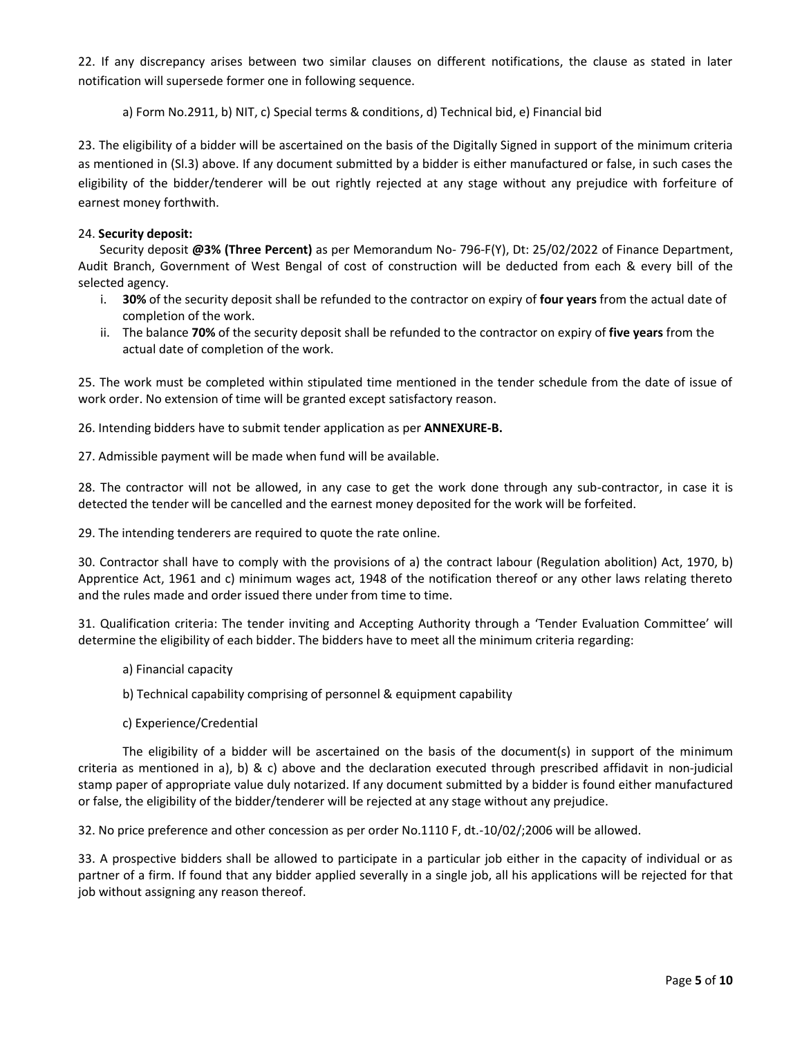22. If any discrepancy arises between two similar clauses on different notifications, the clause as stated in later notification will supersede former one in following sequence.

a) Form No.2911, b) NIT, c) Special terms & conditions, d) Technical bid, e) Financial bid

23. The eligibility of a bidder will be ascertained on the basis of the Digitally Signed in support of the minimum criteria as mentioned in (Sl.3) above. If any document submitted by a bidder is either manufactured or false, in such cases the eligibility of the bidder/tenderer will be out rightly rejected at any stage without any prejudice with forfeiture of earnest money forthwith.

#### 24. **Security deposit:**

Security deposit **@3% (Three Percent)** as per Memorandum No- 796-F(Y), Dt: 25/02/2022 of Finance Department, Audit Branch, Government of West Bengal of cost of construction will be deducted from each & every bill of the selected agency.

- i. **30%** of the security deposit shall be refunded to the contractor on expiry of **four years** from the actual date of completion of the work.
- ii. The balance **70%** of the security deposit shall be refunded to the contractor on expiry of **five years** from the actual date of completion of the work.

25. The work must be completed within stipulated time mentioned in the tender schedule from the date of issue of work order. No extension of time will be granted except satisfactory reason.

26. Intending bidders have to submit tender application as per **ANNEXURE-B.**

27. Admissible payment will be made when fund will be available.

28. The contractor will not be allowed, in any case to get the work done through any sub-contractor, in case it is detected the tender will be cancelled and the earnest money deposited for the work will be forfeited.

29. The intending tenderers are required to quote the rate online.

30. Contractor shall have to comply with the provisions of a) the contract labour (Regulation abolition) Act, 1970, b) Apprentice Act, 1961 and c) minimum wages act, 1948 of the notification thereof or any other laws relating thereto and the rules made and order issued there under from time to time.

31. Qualification criteria: The tender inviting and Accepting Authority through a 'Tender Evaluation Committee' will determine the eligibility of each bidder. The bidders have to meet all the minimum criteria regarding:

a) Financial capacity

b) Technical capability comprising of personnel & equipment capability

c) Experience/Credential

The eligibility of a bidder will be ascertained on the basis of the document(s) in support of the minimum criteria as mentioned in a), b) & c) above and the declaration executed through prescribed affidavit in non-judicial stamp paper of appropriate value duly notarized. If any document submitted by a bidder is found either manufactured or false, the eligibility of the bidder/tenderer will be rejected at any stage without any prejudice.

32. No price preference and other concession as per order No.1110 F, dt.-10/02/;2006 will be allowed.

33. A prospective bidders shall be allowed to participate in a particular job either in the capacity of individual or as partner of a firm. If found that any bidder applied severally in a single job, all his applications will be rejected for that job without assigning any reason thereof.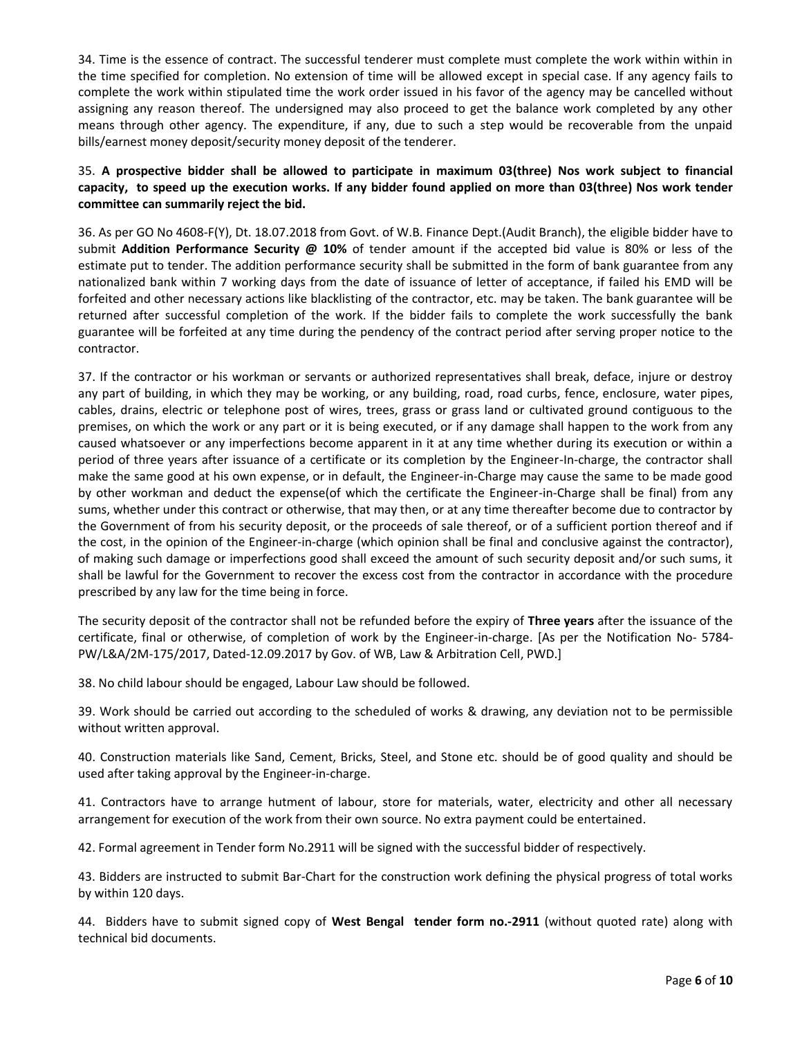34. Time is the essence of contract. The successful tenderer must complete must complete the work within within in the time specified for completion. No extension of time will be allowed except in special case. If any agency fails to complete the work within stipulated time the work order issued in his favor of the agency may be cancelled without assigning any reason thereof. The undersigned may also proceed to get the balance work completed by any other means through other agency. The expenditure, if any, due to such a step would be recoverable from the unpaid bills/earnest money deposit/security money deposit of the tenderer.

35. **A prospective bidder shall be allowed to participate in maximum 03(three) Nos work subject to financial capacity, to speed up the execution works. If any bidder found applied on more than 03(three) Nos work tender committee can summarily reject the bid.**

36. As per GO No 4608-F(Y), Dt. 18.07.2018 from Govt. of W.B. Finance Dept.(Audit Branch), the eligible bidder have to submit **Addition Performance Security @ 10%** of tender amount if the accepted bid value is 80% or less of the estimate put to tender. The addition performance security shall be submitted in the form of bank guarantee from any nationalized bank within 7 working days from the date of issuance of letter of acceptance, if failed his EMD will be forfeited and other necessary actions like blacklisting of the contractor, etc. may be taken. The bank guarantee will be returned after successful completion of the work. If the bidder fails to complete the work successfully the bank guarantee will be forfeited at any time during the pendency of the contract period after serving proper notice to the contractor.

37. If the contractor or his workman or servants or authorized representatives shall break, deface, injure or destroy any part of building, in which they may be working, or any building, road, road curbs, fence, enclosure, water pipes, cables, drains, electric or telephone post of wires, trees, grass or grass land or cultivated ground contiguous to the premises, on which the work or any part or it is being executed, or if any damage shall happen to the work from any caused whatsoever or any imperfections become apparent in it at any time whether during its execution or within a period of three years after issuance of a certificate or its completion by the Engineer-In-charge, the contractor shall make the same good at his own expense, or in default, the Engineer-in-Charge may cause the same to be made good by other workman and deduct the expense(of which the certificate the Engineer-in-Charge shall be final) from any sums, whether under this contract or otherwise, that may then, or at any time thereafter become due to contractor by the Government of from his security deposit, or the proceeds of sale thereof, or of a sufficient portion thereof and if the cost, in the opinion of the Engineer-in-charge (which opinion shall be final and conclusive against the contractor), of making such damage or imperfections good shall exceed the amount of such security deposit and/or such sums, it shall be lawful for the Government to recover the excess cost from the contractor in accordance with the procedure prescribed by any law for the time being in force.

The security deposit of the contractor shall not be refunded before the expiry of **Three years** after the issuance of the certificate, final or otherwise, of completion of work by the Engineer-in-charge. [As per the Notification No- 5784- PW/L&A/2M-175/2017, Dated-12.09.2017 by Gov. of WB, Law & Arbitration Cell, PWD.]

38. No child labour should be engaged, Labour Law should be followed.

39. Work should be carried out according to the scheduled of works & drawing, any deviation not to be permissible without written approval.

40. Construction materials like Sand, Cement, Bricks, Steel, and Stone etc. should be of good quality and should be used after taking approval by the Engineer-in-charge.

41. Contractors have to arrange hutment of labour, store for materials, water, electricity and other all necessary arrangement for execution of the work from their own source. No extra payment could be entertained.

42. Formal agreement in Tender form No.2911 will be signed with the successful bidder of respectively.

43. Bidders are instructed to submit Bar-Chart for the construction work defining the physical progress of total works by within 120 days.

44. Bidders have to submit signed copy of **West Bengal tender form no.-2911** (without quoted rate) along with technical bid documents.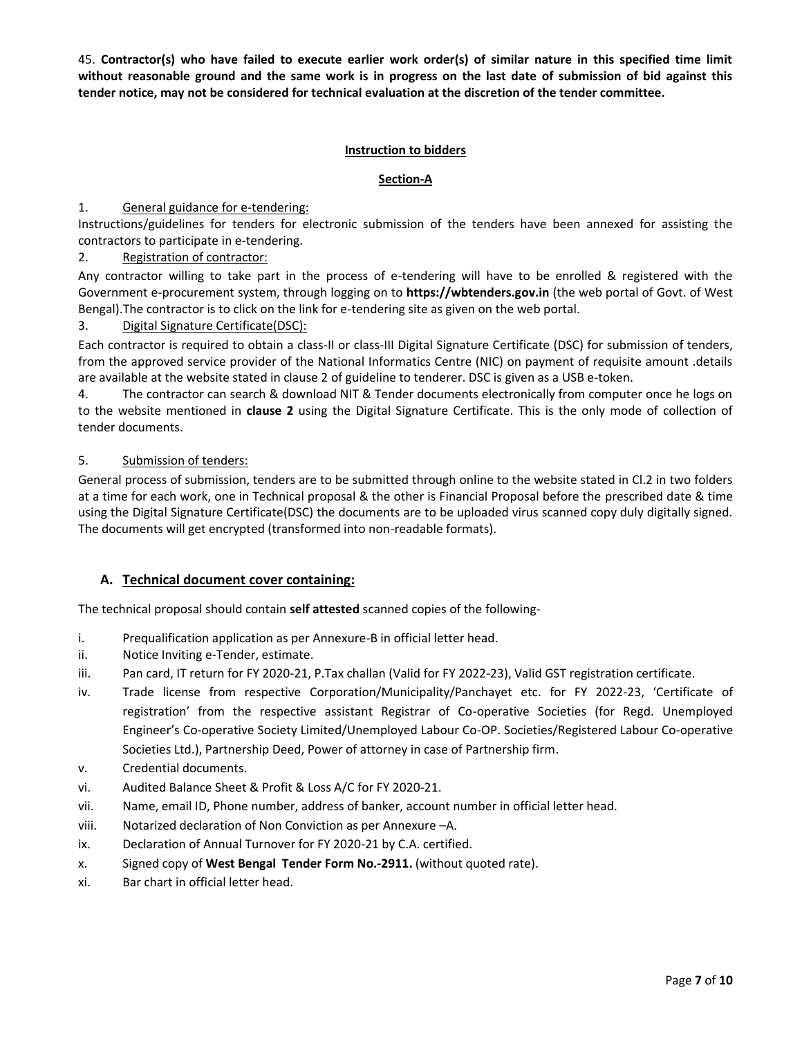45. **Contractor(s) who have failed to execute earlier work order(s) of similar nature in this specified time limit without reasonable ground and the same work is in progress on the last date of submission of bid against this tender notice, may not be considered for technical evaluation at the discretion of the tender committee.**

#### **Instruction to bidders**

#### **Section-A**

#### 1. General guidance for e-tendering:

Instructions/guidelines for tenders for electronic submission of the tenders have been annexed for assisting the contractors to participate in e-tendering.

#### 2. Registration of contractor:

Any contractor willing to take part in the process of e-tendering will have to be enrolled & registered with the Government e-procurement system, through logging on to **https://wbtenders.gov.in** (the web portal of Govt. of West Bengal).The contractor is to click on the link for e-tendering site as given on the web portal.

#### 3. Digital Signature Certificate(DSC):

Each contractor is required to obtain a class-II or class-III Digital Signature Certificate (DSC) for submission of tenders, from the approved service provider of the National Informatics Centre (NIC) on payment of requisite amount .details are available at the website stated in clause 2 of guideline to tenderer. DSC is given as a USB e-token.

4. The contractor can search & download NIT & Tender documents electronically from computer once he logs on to the website mentioned in **clause 2** using the Digital Signature Certificate. This is the only mode of collection of tender documents.

#### 5. Submission of tenders:

General process of submission, tenders are to be submitted through online to the website stated in Cl.2 in two folders at a time for each work, one in Technical proposal & the other is Financial Proposal before the prescribed date & time using the Digital Signature Certificate(DSC) the documents are to be uploaded virus scanned copy duly digitally signed. The documents will get encrypted (transformed into non-readable formats).

#### **A. Technical document cover containing:**

The technical proposal should contain **self attested** scanned copies of the following-

- i. Prequalification application as per Annexure-B in official letter head.
- ii. Notice Inviting e-Tender, estimate.
- iii. Pan card, IT return for FY 2020-21, P.Tax challan (Valid for FY 2022-23), Valid GST registration certificate.
- iv. Trade license from respective Corporation/Municipality/Panchayet etc. for FY 2022-23, 'Certificate of registration' from the respective assistant Registrar of Co-operative Societies (for Regd. Unemployed Engineer's Co-operative Society Limited/Unemployed Labour Co-OP. Societies/Registered Labour Co-operative Societies Ltd.), Partnership Deed, Power of attorney in case of Partnership firm.
- v. Credential documents.
- vi. Audited Balance Sheet & Profit & Loss A/C for FY 2020-21.
- vii. Name, email ID, Phone number, address of banker, account number in official letter head.
- viii. Notarized declaration of Non Conviction as per Annexure –A.
- ix. Declaration of Annual Turnover for FY 2020-21 by C.A. certified.
- x. Signed copy of **West Bengal Tender Form No.-2911.** (without quoted rate).
- xi. Bar chart in official letter head.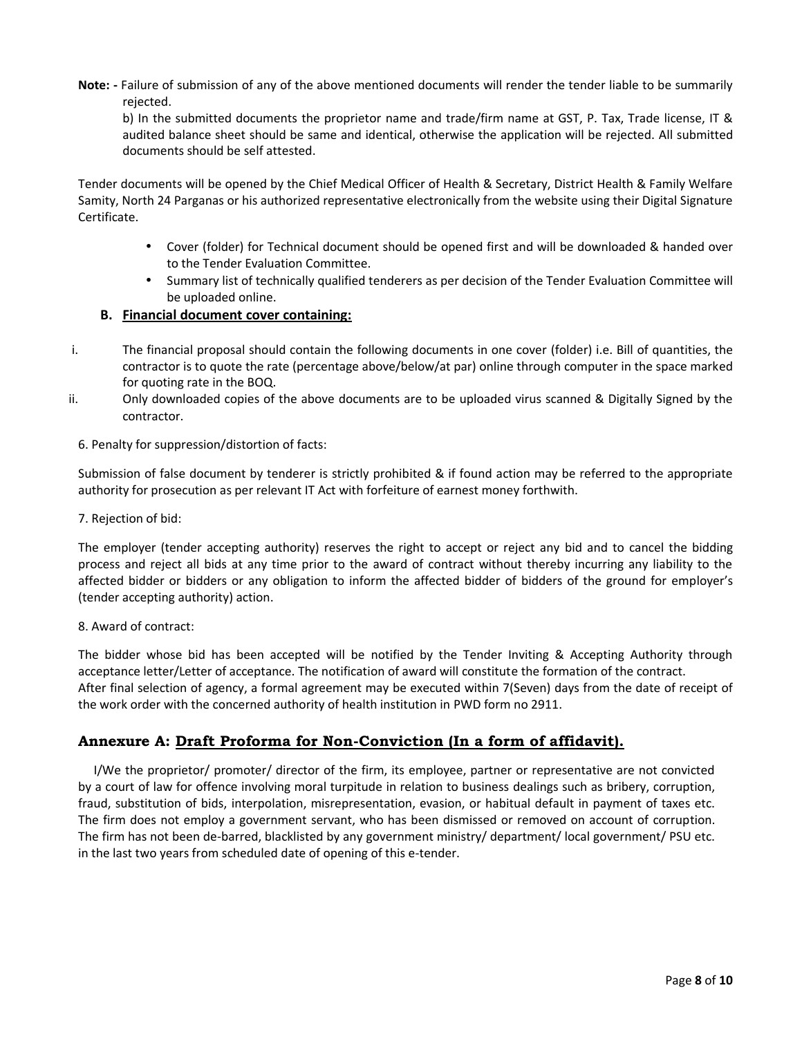**Note: -** Failure of submission of any of the above mentioned documents will render the tender liable to be summarily rejected.

b) In the submitted documents the proprietor name and trade/firm name at GST, P. Tax, Trade license, IT & audited balance sheet should be same and identical, otherwise the application will be rejected. All submitted documents should be self attested.

Tender documents will be opened by the Chief Medical Officer of Health & Secretary, District Health & Family Welfare Samity, North 24 Parganas or his authorized representative electronically from the website using their Digital Signature Certificate.

- Cover (folder) for Technical document should be opened first and will be downloaded & handed over to the Tender Evaluation Committee.
- Summary list of technically qualified tenderers as per decision of the Tender Evaluation Committee will be uploaded online.

#### **B. Financial document cover containing:**

- i. The financial proposal should contain the following documents in one cover (folder) i.e. Bill of quantities, the contractor is to quote the rate (percentage above/below/at par) online through computer in the space marked for quoting rate in the BOQ.
- ii. Only downloaded copies of the above documents are to be uploaded virus scanned & Digitally Signed by the contractor.

#### 6. Penalty for suppression/distortion of facts:

Submission of false document by tenderer is strictly prohibited & if found action may be referred to the appropriate authority for prosecution as per relevant IT Act with forfeiture of earnest money forthwith.

#### 7. Rejection of bid:

The employer (tender accepting authority) reserves the right to accept or reject any bid and to cancel the bidding process and reject all bids at any time prior to the award of contract without thereby incurring any liability to the affected bidder or bidders or any obligation to inform the affected bidder of bidders of the ground for employer's (tender accepting authority) action.

#### 8. Award of contract:

The bidder whose bid has been accepted will be notified by the Tender Inviting & Accepting Authority through acceptance letter/Letter of acceptance. The notification of award will constitute the formation of the contract. After final selection of agency, a formal agreement may be executed within 7(Seven) days from the date of receipt of the work order with the concerned authority of health institution in PWD form no 2911.

#### **Annexure A: Draft Proforma for Non-Conviction (In a form of affidavit).**

I/We the proprietor/ promoter/ director of the firm, its employee, partner or representative are not convicted by a court of law for offence involving moral turpitude in relation to business dealings such as bribery, corruption, fraud, substitution of bids, interpolation, misrepresentation, evasion, or habitual default in payment of taxes etc. The firm does not employ a government servant, who has been dismissed or removed on account of corruption. The firm has not been de-barred, blacklisted by any government ministry/ department/ local government/ PSU etc. in the last two years from scheduled date of opening of this e-tender.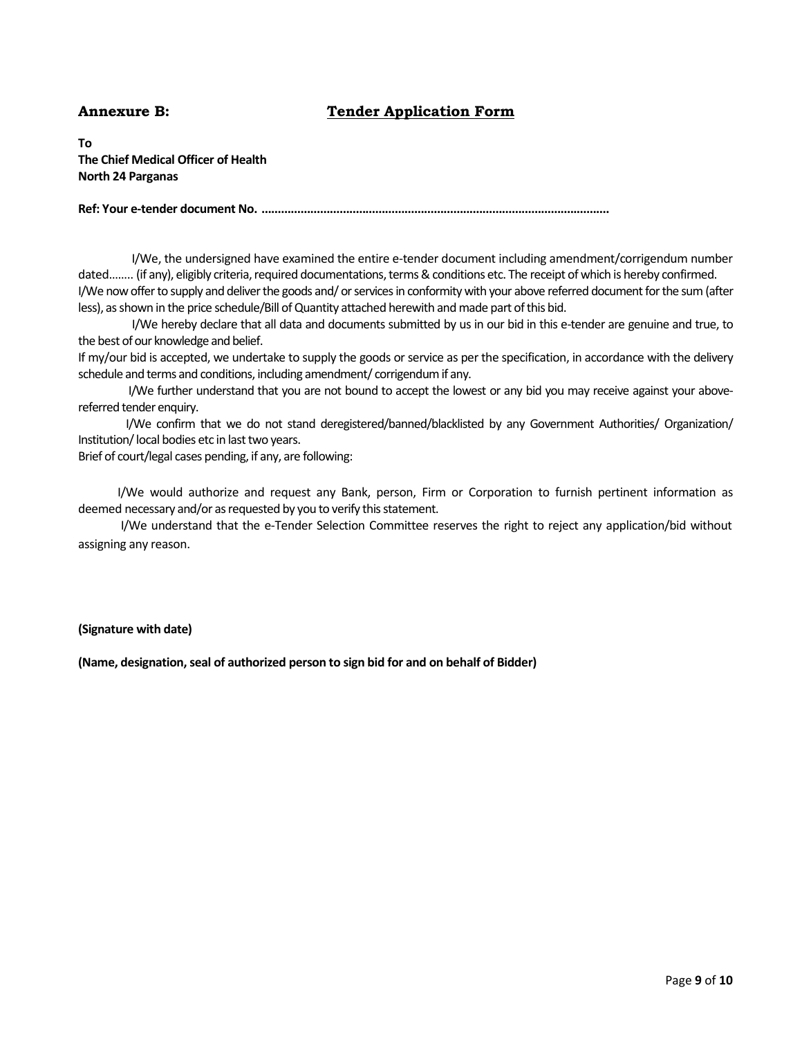### **Annexure B: Tender Application Form**

**To The Chief Medical Officer of Health North 24 Parganas**

**Ref: Your e-tender document No. ...........................................................................................................**

I/We, the undersigned have examined the entire e-tender document including amendment/corrigendum number dated........ (if any), eligibly criteria, required documentations, terms & conditions etc. The receipt of which is hereby confirmed. I/We now offer to supply and deliver the goods and/ or services in conformity with your above referred document for the sum(after less), as shown in the price schedule/Bill of Quantity attached herewith and made part of this bid.

I/We hereby declare that all data and documents submitted by us in our bid in this e-tender are genuine and true, to the best of our knowledge and belief.

If my/our bid is accepted, we undertake to supply the goods or service as per the specification, in accordance with the delivery schedule and terms and conditions, including amendment/ corrigendum if any.

I/We further understand that you are not bound to accept the lowest or any bid you may receive against your above referred tender enquiry.

I/We confirm that we do not stand deregistered/banned/blacklisted by any Government Authorities/ Organization/ Institution/local bodies etc in last two years.

Brief of court/legal cases pending, if any, are following:

I/We would authorize and request any Bank, person, Firm or Corporation to furnish pertinent information as deemed necessary and/or as requested by you to verify this statement.

I/We understand that the e-Tender Selection Committee reserves the right to reject any application/bid without assigning any reason.

#### **(Signature with date)**

**(Name, designation, seal of authorized person to sign bid for and on behalf of Bidder)**